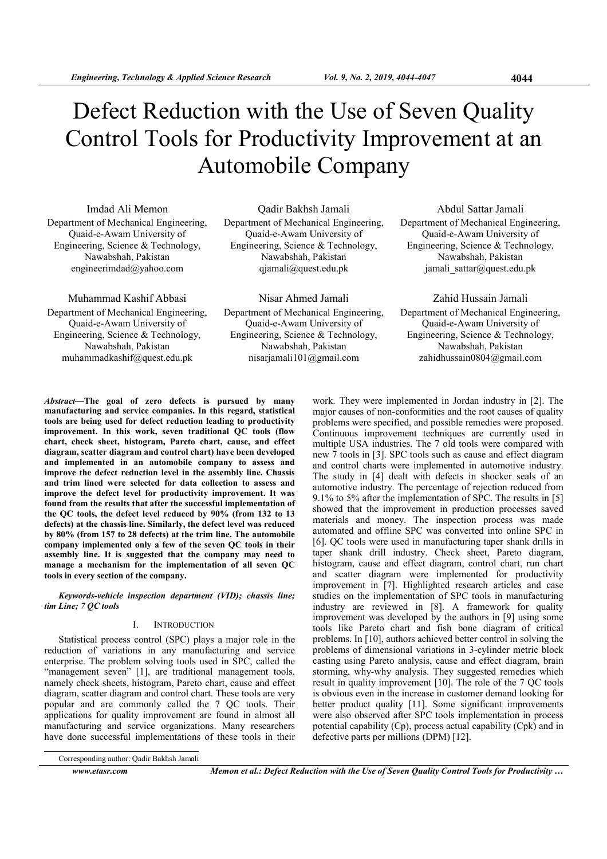# Defect Reduction with the Use of Seven Quality Control Tools for Productivity Improvement at an Automobile Company

Imdad Ali Memon Department of Mechanical Engineering, Quaid-e-Awam University of Engineering, Science & Technology, Nawabshah, Pakistan engineerimdad@yahoo.com

Muhammad Kashif Abbasi Department of Mechanical Engineering, Quaid-e-Awam University of Engineering, Science & Technology, Nawabshah, Pakistan muhammadkashif@quest.edu.pk

Qadir Bakhsh Jamali Department of Mechanical Engineering, Quaid-e-Awam University of Engineering, Science & Technology, Nawabshah, Pakistan qjamali@quest.edu.pk

Nisar Ahmed Jamali Department of Mechanical Engineering, Quaid-e-Awam University of Engineering, Science & Technology, Nawabshah, Pakistan nisarjamali101@gmail.com

Abdul Sattar Jamali Department of Mechanical Engineering, Quaid-e-Awam University of Engineering, Science & Technology, Nawabshah, Pakistan jamali sattar@quest.edu.pk

Zahid Hussain Jamali Department of Mechanical Engineering, Quaid-e-Awam University of Engineering, Science & Technology, Nawabshah, Pakistan zahidhussain0804@gmail.com

Abstract—The goal of zero defects is pursued by many manufacturing and service companies. In this regard, statistical tools are being used for defect reduction leading to productivity improvement. In this work, seven traditional QC tools (flow chart, check sheet, histogram, Pareto chart, cause, and effect diagram, scatter diagram and control chart) have been developed and implemented in an automobile company to assess and improve the defect reduction level in the assembly line. Chassis and trim lined were selected for data collection to assess and improve the defect level for productivity improvement. It was found from the results that after the successful implementation of the QC tools, the defect level reduced by 90% (from 132 to 13 defects) at the chassis line. Similarly, the defect level was reduced by 80% (from 157 to 28 defects) at the trim line. The automobile company implemented only a few of the seven QC tools in their assembly line. It is suggested that the company may need to manage a mechanism for the implementation of all seven QC tools in every section of the company.

Keywords-vehicle inspection department (VID); chassis line; tim Line; 7 QC tools

### I. INTRODUCTION

Statistical process control (SPC) plays a major role in the reduction of variations in any manufacturing and service enterprise. The problem solving tools used in SPC, called the "management seven" [1], are traditional management tools, namely check sheets, histogram, Pareto chart, cause and effect diagram, scatter diagram and control chart. These tools are very popular and are commonly called the 7 QC tools. Their applications for quality improvement are found in almost all manufacturing and service organizations. Many researchers have done successful implementations of these tools in their

work. They were implemented in Jordan industry in [2]. The major causes of non-conformities and the root causes of quality problems were specified, and possible remedies were proposed. Continuous improvement techniques are currently used in multiple USA industries. The 7 old tools were compared with new 7 tools in [3]. SPC tools such as cause and effect diagram and control charts were implemented in automotive industry. The study in [4] dealt with defects in shocker seals of an automotive industry. The percentage of rejection reduced from 9.1% to 5% after the implementation of SPC. The results in [5] showed that the improvement in production processes saved materials and money. The inspection process was made automated and offline SPC was converted into online SPC in [6]. QC tools were used in manufacturing taper shank drills in taper shank drill industry. Check sheet, Pareto diagram, histogram, cause and effect diagram, control chart, run chart and scatter diagram were implemented for productivity improvement in [7]. Highlighted research articles and case studies on the implementation of SPC tools in manufacturing industry are reviewed in [8]. A framework for quality improvement was developed by the authors in [9] using some tools like Pareto chart and fish bone diagram of critical problems. In [10], authors achieved better control in solving the problems of dimensional variations in 3-cylinder metric block casting using Pareto analysis, cause and effect diagram, brain storming, why-why analysis. They suggested remedies which result in quality improvement [10]. The role of the 7 QC tools is obvious even in the increase in customer demand looking for better product quality [11]. Some significant improvements were also observed after SPC tools implementation in process potential capability (Cp), process actual capability (Cpk) and in defective parts per millions (DPM) [12].

www.etasr.com Memon et al.: Defect Reduction with the Use of Seven Quality Control Tools for Productivity ...

Corresponding author: Qadir Bakhsh Jamali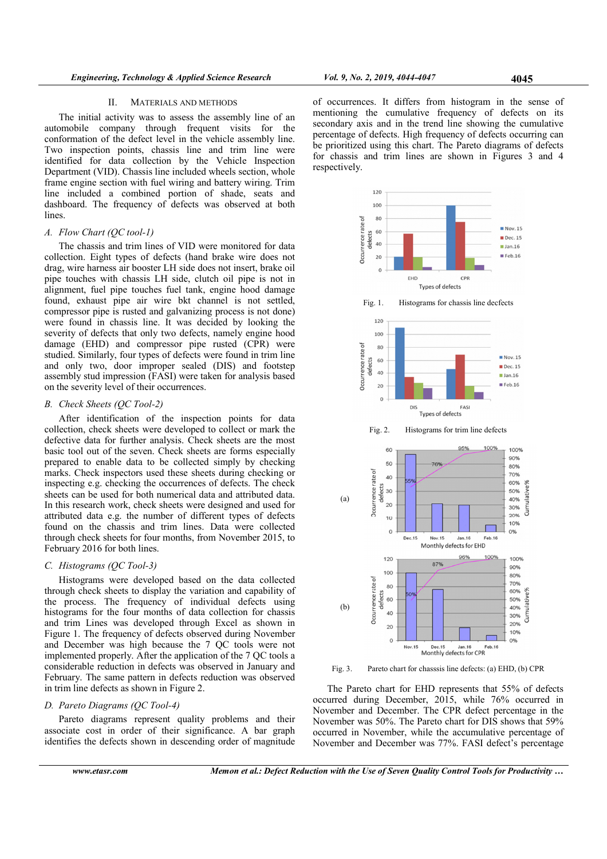#### II. MATERIALS AND METHODS

The initial activity was to assess the assembly line of an automobile company through frequent visits for the conformation of the defect level in the vehicle assembly line. Two inspection points, chassis line and trim line were identified for data collection by the Vehicle Inspection Department (VID). Chassis line included wheels section, whole frame engine section with fuel wiring and battery wiring. Trim line included a combined portion of shade, seats and dashboard. The frequency of defects was observed at both lines.

#### A. Flow Chart (QC tool-1)

The chassis and trim lines of VID were monitored for data collection. Eight types of defects (hand brake wire does not drag, wire harness air booster LH side does not insert, brake oil pipe touches with chassis LH side, clutch oil pipe is not in alignment, fuel pipe touches fuel tank, engine hood damage found, exhaust pipe air wire bkt channel is not settled, compressor pipe is rusted and galvanizing process is not done) were found in chassis line. It was decided by looking the severity of defects that only two defects, namely engine hood damage (EHD) and compressor pipe rusted (CPR) were studied. Similarly, four types of defects were found in trim line and only two, door improper sealed (DIS) and footstep assembly stud impression (FASI) were taken for analysis based on the severity level of their occurrences.

#### B. Check Sheets (QC Tool-2)

After identification of the inspection points for data collection, check sheets were developed to collect or mark the defective data for further analysis. Check sheets are the most basic tool out of the seven. Check sheets are forms especially prepared to enable data to be collected simply by checking marks. Check inspectors used these sheets during checking or inspecting e.g. checking the occurrences of defects. The check sheets can be used for both numerical data and attributed data. In this research work, check sheets were designed and used for attributed data e.g. the number of different types of defects found on the chassis and trim lines. Data were collected through check sheets for four months, from November 2015, to February 2016 for both lines.

## C. Histograms (QC Tool-3)

Histograms were developed based on the data collected through check sheets to display the variation and capability of the process. The frequency of individual defects using histograms for the four months of data collection for chassis and trim Lines was developed through Excel as shown in Figure 1. The frequency of defects observed during November and December was high because the 7 QC tools were not implemented properly. After the application of the 7 QC tools a considerable reduction in defects was observed in January and February. The same pattern in defects reduction was observed in trim line defects as shown in Figure 2.

#### D. Pareto Diagrams (QC Tool-4)

Pareto diagrams represent quality problems and their associate cost in order of their significance. A bar graph identifies the defects shown in descending order of magnitude of occurrences. It differs from histogram in the sense of mentioning the cumulative frequency of defects on its secondary axis and in the trend line showing the cumulative percentage of defects. High frequency of defects occurring can be prioritized using this chart. The Pareto diagrams of defects for chassis and trim lines are shown in Figures 3 and 4 respectively.



Fig. 3. Pareto chart for chasssis line defects: (a) EHD, (b) CPR

The Pareto chart for EHD represents that 55% of defects occurred during December, 2015, while 76% occurred in November and December. The CPR defect percentage in the November was 50%. The Pareto chart for DIS shows that 59% occurred in November, while the accumulative percentage of November and December was 77%. FASI defect's percentage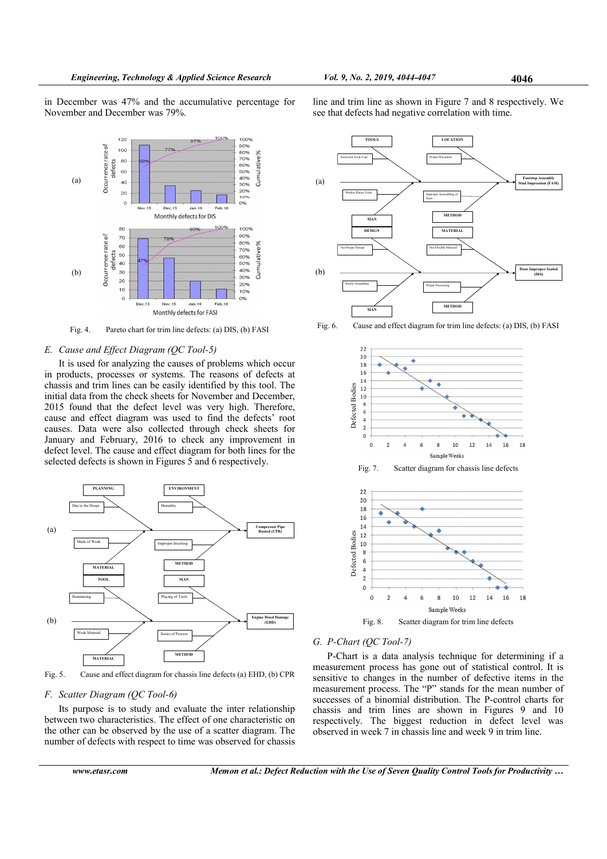in December was 47% and the accumulative percentage for November and December was 79%.

line and trim line as shown in Figure 7 and 8 respectively. We see that defects had negative correlation with time.



Fig. 4. Pareto chart for trim line defects: (a) DIS, (b) FASI

#### E. Cause and Effect Diagram (QC Tool-5)

It is used for analyzing the causes of problems which occur in products, processes or systems. The reasons of defects at chassis and trim lines can be easily identified by this tool. The initial data from the check sheets for November and December, 2015 found that the defect level was very high. Therefore, cause and effect diagram was used to find the defects' root causes. Data were also collected through check sheets for January and February, 2016 to check any improvement in defect level. The cause and effect diagram for both lines for the selected defects is shown in Figures 5 and 6 respectively.



Fig. 5. Cause and effect diagram for chassis line defects (a) EHD, (b) CPR

#### F. Scatter Diagram (QC Tool-6)

Its purpose is to study and evaluate the inter relationship between two characteristics. The effect of one characteristic on the other can be observed by the use of a scatter diagram. The number of defects with respect to time was observed for chassis



www.etasr.com Memon et al.: Defect Reduction with the Use of Seven Quality Control Tools for Productivity ...



Fig. 6. Cause and effect diagram for trim line defects: (a) DIS, (b) FASI



#### G. P-Chart (QC Tool-7)

P-Chart is a data analysis technique for determining if a measurement process has gone out of statistical control. It is sensitive to changes in the number of defective items in the measurement process. The "P" stands for the mean number of successes of a binomial distribution. The P-control charts for chassis and trim lines are shown in Figures 9 and 10 respectively. The biggest reduction in defect level was observed in week 7 in chassis line and week 9 in trim line.